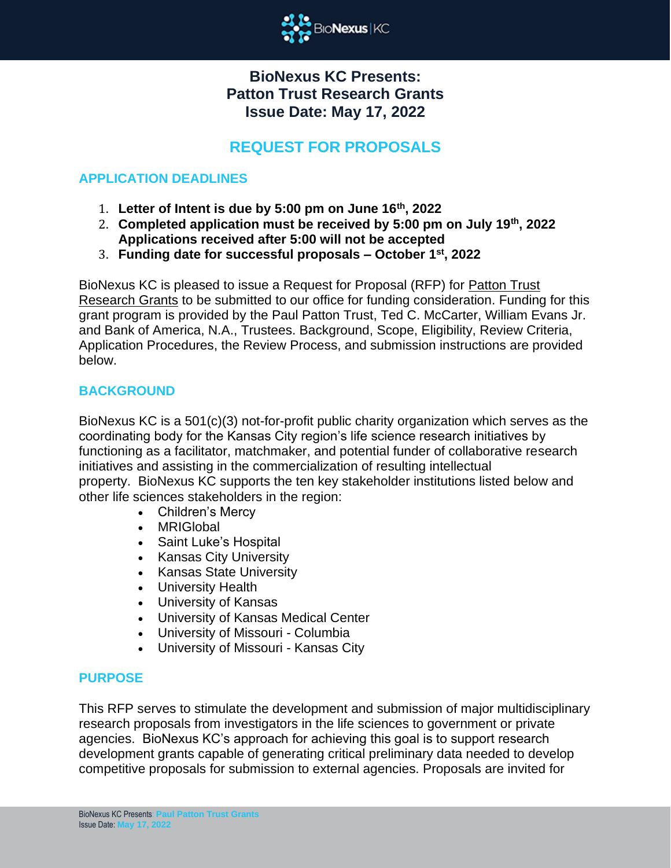

# **BioNexus KC Presents: Patton Trust Research Grants Issue Date: May 17, 2022**

# **REQUEST FOR PROPOSALS**

# **APPLICATION DEADLINES**

- 1. **Letter of Intent is due by 5:00 pm on June 16th, 2022**
- 2. **Completed application must be received by 5:00 pm on July 19th, 2022 Applications received after 5:00 will not be accepted**
- 3. **Funding date for successful proposals – October 1st, 2022**

BioNexus KC is pleased to issue a Request for Proposal (RFP) for Patton Trust Research Grants to be submitted to our office for funding consideration. Funding for this grant program is provided by the Paul Patton Trust, Ted C. McCarter, William Evans Jr. and Bank of America, N.A., Trustees. Background, Scope, Eligibility, Review Criteria, Application Procedures, the Review Process, and submission instructions are provided below.

# **BACKGROUND**

BioNexus KC is a 501(c)(3) not-for-profit public charity organization which serves as the coordinating body for the Kansas City region's life science research initiatives by functioning as a facilitator, matchmaker, and potential funder of collaborative research initiatives and assisting in the commercialization of resulting intellectual property. BioNexus KC supports the ten key stakeholder institutions listed below and other life sciences stakeholders in the region:

- Children's Mercy
- MRIGlobal
- Saint Luke's Hospital
- Kansas City University
- Kansas State University
- University Health
- University of Kansas
- University of Kansas Medical Center
- University of Missouri Columbia
- University of Missouri Kansas City

#### **PURPOSE**

This RFP serves to stimulate the development and submission of major multidisciplinary research proposals from investigators in the life sciences to government or private agencies. BioNexus KC's approach for achieving this goal is to support research development grants capable of generating critical preliminary data needed to develop competitive proposals for submission to external agencies. Proposals are invited for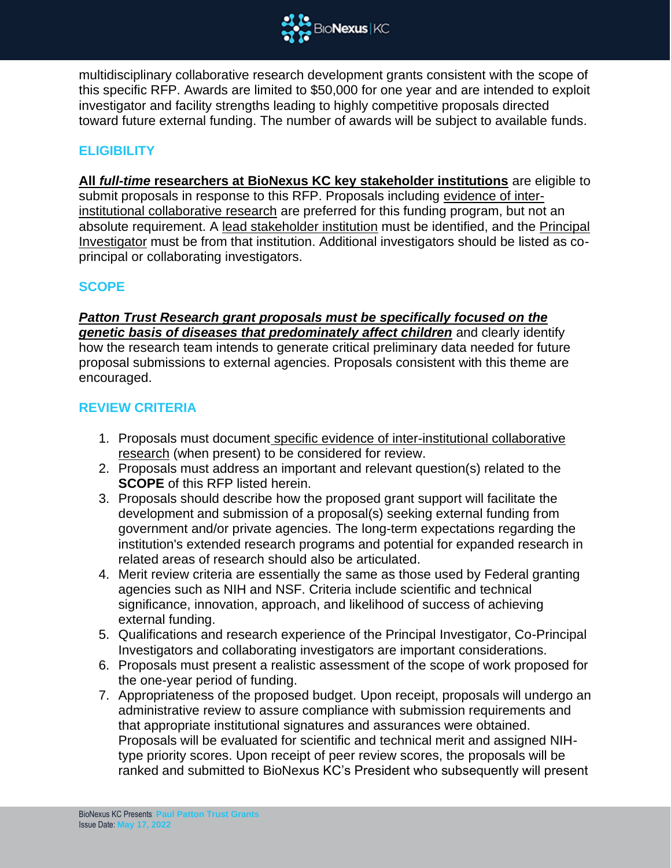

multidisciplinary collaborative research development grants consistent with the scope of this specific RFP. Awards are limited to \$50,000 for one year and are intended to exploit investigator and facility strengths leading to highly competitive proposals directed toward future external funding. The number of awards will be subject to available funds.

# **ELIGIBILITY**

**All** *full-time* **researchers at BioNexus KC key stakeholder institutions** are eligible to submit proposals in response to this RFP. Proposals including evidence of interinstitutional collaborative research are preferred for this funding program, but not an absolute requirement. A lead stakeholder institution must be identified, and the Principal Investigator must be from that institution. Additional investigators should be listed as coprincipal or collaborating investigators.

### **SCOPE**

*Patton Trust Research grant proposals must be specifically focused on the genetic basis of diseases that predominately affect children* and clearly identify how the research team intends to generate critical preliminary data needed for future proposal submissions to external agencies. Proposals consistent with this theme are encouraged.

### **REVIEW CRITERIA**

- 1. Proposals must document specific evidence of inter-institutional collaborative research (when present) to be considered for review.
- 2. Proposals must address an important and relevant question(s) related to the **SCOPE** of this RFP listed herein.
- 3. Proposals should describe how the proposed grant support will facilitate the development and submission of a proposal(s) seeking external funding from government and/or private agencies. The long-term expectations regarding the institution's extended research programs and potential for expanded research in related areas of research should also be articulated.
- 4. Merit review criteria are essentially the same as those used by Federal granting agencies such as NIH and NSF. Criteria include scientific and technical significance, innovation, approach, and likelihood of success of achieving external funding.
- 5. Qualifications and research experience of the Principal Investigator, Co-Principal Investigators and collaborating investigators are important considerations.
- 6. Proposals must present a realistic assessment of the scope of work proposed for the one-year period of funding.
- 7. Appropriateness of the proposed budget. Upon receipt, proposals will undergo an administrative review to assure compliance with submission requirements and that appropriate institutional signatures and assurances were obtained. Proposals will be evaluated for scientific and technical merit and assigned NIHtype priority scores. Upon receipt of peer review scores, the proposals will be ranked and submitted to BioNexus KC's President who subsequently will present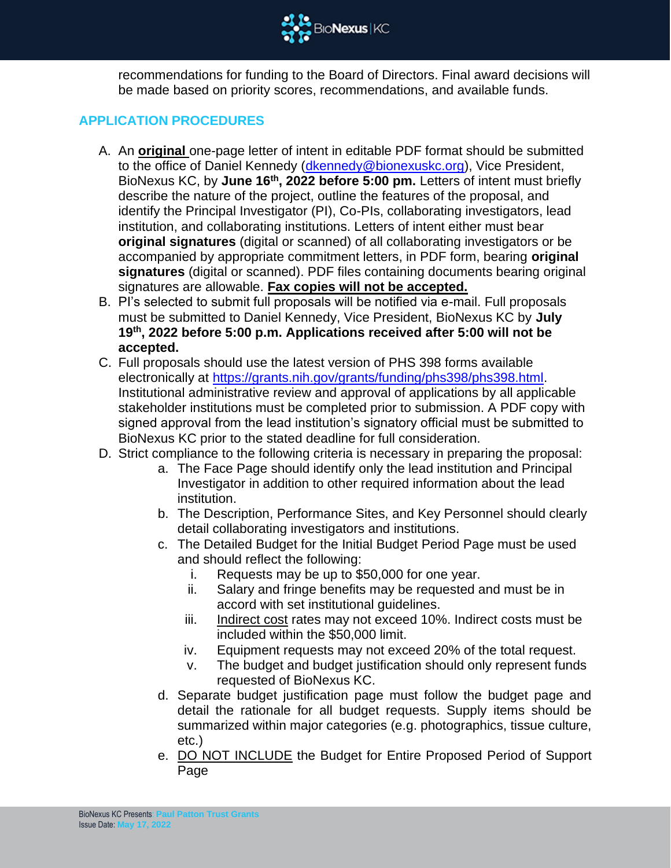

recommendations for funding to the Board of Directors. Final award decisions will be made based on priority scores, recommendations, and available funds.

# **APPLICATION PROCEDURES**

- A. An **original** one-page letter of intent in editable PDF format should be submitted to the office of Daniel Kennedy [\(dkennedy@bionexuskc.org\)](mailto:dkennedy@bionexuskc.org), Vice President, BioNexus KC, by **June 16th, 2022 before 5:00 pm.** Letters of intent must briefly describe the nature of the project, outline the features of the proposal, and identify the Principal Investigator (PI), Co-PIs, collaborating investigators, lead institution, and collaborating institutions. Letters of intent either must bear **original signatures** (digital or scanned) of all collaborating investigators or be accompanied by appropriate commitment letters, in PDF form, bearing **original signatures** (digital or scanned). PDF files containing documents bearing original signatures are allowable. **Fax copies will not be accepted.**
- B. PI's selected to submit full proposals will be notified via e-mail. Full proposals must be submitted to Daniel Kennedy, Vice President, BioNexus KC by **July 19th, 2022 before 5:00 p.m. Applications received after 5:00 will not be accepted.**
- C. Full proposals should use the latest version of PHS 398 forms available electronically at https://grants.nih.gov/grants/funding/phs398/phs398.html. Institutional administrative review and approval of applications by all applicable stakeholder institutions must be completed prior to submission. A PDF copy with signed approval from the lead institution's signatory official must be submitted to BioNexus KC prior to the stated deadline for full consideration.
- D. Strict compliance to the following criteria is necessary in preparing the proposal:
	- a. The Face Page should identify only the lead institution and Principal Investigator in addition to other required information about the lead institution.
	- b. The Description, Performance Sites, and Key Personnel should clearly detail collaborating investigators and institutions.
	- c. The Detailed Budget for the Initial Budget Period Page must be used and should reflect the following:
		- i. Requests may be up to \$50,000 for one year.
		- ii. Salary and fringe benefits may be requested and must be in accord with set institutional guidelines.
		- iii. Indirect cost rates may not exceed 10%. Indirect costs must be included within the \$50,000 limit.
		- iv. Equipment requests may not exceed 20% of the total request.
		- v. The budget and budget justification should only represent funds requested of BioNexus KC.
	- d. Separate budget justification page must follow the budget page and detail the rationale for all budget requests. Supply items should be summarized within major categories (e.g. photographics, tissue culture, etc.)
	- e. DO NOT INCLUDE the Budget for Entire Proposed Period of Support Page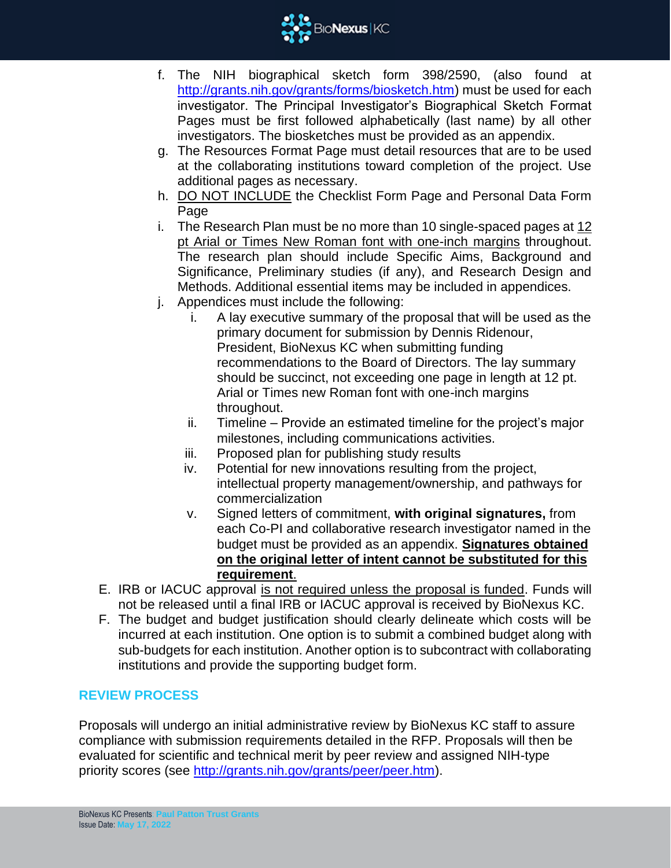

- f. The NIH biographical sketch form 398/2590, (also found at http://grants.nih.gov/grants/forms/biosketch.htm) must be used for each investigator. The Principal Investigator's Biographical Sketch Format Pages must be first followed alphabetically (last name) by all other investigators. The biosketches must be provided as an appendix.
- g. The Resources Format Page must detail resources that are to be used at the collaborating institutions toward completion of the project. Use additional pages as necessary.
- h. DO NOT INCLUDE the Checklist Form Page and Personal Data Form Page
- i. The Research Plan must be no more than 10 single-spaced pages at 12 pt Arial or Times New Roman font with one-inch margins throughout. The research plan should include Specific Aims, Background and Significance, Preliminary studies (if any), and Research Design and Methods. Additional essential items may be included in appendices.
- j. Appendices must include the following:
	- i. A lay executive summary of the proposal that will be used as the primary document for submission by Dennis Ridenour, President, BioNexus KC when submitting funding recommendations to the Board of Directors. The lay summary should be succinct, not exceeding one page in length at 12 pt. Arial or Times new Roman font with one-inch margins throughout.
	- ii. Timeline Provide an estimated timeline for the project's major milestones, including communications activities.
	- iii. Proposed plan for publishing study results
	- iv. Potential for new innovations resulting from the project, intellectual property management/ownership, and pathways for commercialization
	- v. Signed letters of commitment, **with original signatures,** from each Co-PI and collaborative research investigator named in the budget must be provided as an appendix. **Signatures obtained on the original letter of intent cannot be substituted for this requirement**.
- E. IRB or IACUC approval is not required unless the proposal is funded. Funds will not be released until a final IRB or IACUC approval is received by BioNexus KC.
- F. The budget and budget justification should clearly delineate which costs will be incurred at each institution. One option is to submit a combined budget along with sub-budgets for each institution. Another option is to subcontract with collaborating institutions and provide the supporting budget form.

# **REVIEW PROCESS**

Proposals will undergo an initial administrative review by BioNexus KC staff to assure compliance with submission requirements detailed in the RFP. Proposals will then be evaluated for scientific and technical merit by peer review and assigned NIH-type priority scores (see [http://grants.nih.gov/grants/peer/peer.htm\)](http://grants.nih.gov/grants/peer/peer.htm).